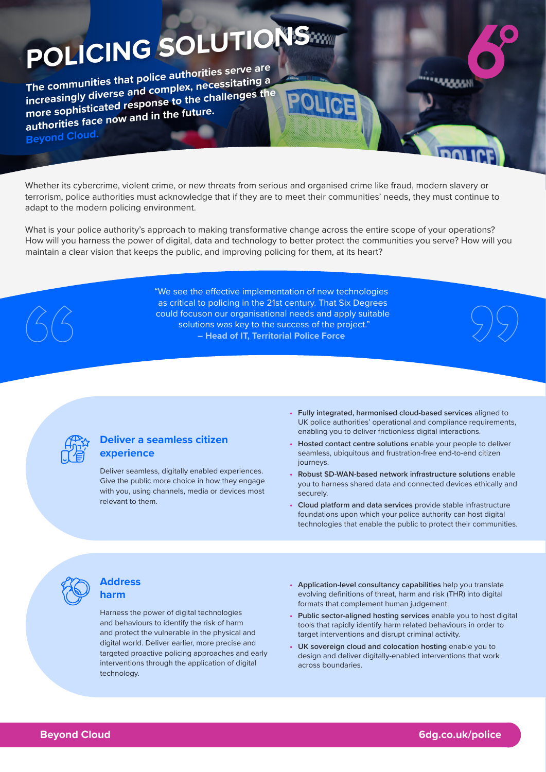# **POLICING SOLUTIONS**

**The communities that police authorities serve are increasingly diverse and complex, necessitating a more sophisticated response to the challenges the authorities face now and in the future. Beyond Cloud.**

Whether its cybercrime, violent crime, or new threats from serious and organised crime like fraud, modern slavery or terrorism, police authorities must acknowledge that if they are to meet their communities' needs, they must continue to adapt to the modern policing environment.

What is your police authority's approach to making transformative change across the entire scope of your operations? How will you harness the power of digital, data and technology to better protect the communities you serve? How will you maintain a clear vision that keeps the public, and improving policing for them, at its heart?

> "We see the effective implementation of new technologies as critical to policing in the 21st century. That Six Degrees could focuson our organisational needs and apply suitable solutions was key to the success of the project." **– Head of IT, Territorial Police Force**



# **Deliver a seamless citizen experience**

Deliver seamless, digitally enabled experiences. Give the public more choice in how they engage with you, using channels, media or devices most relevant to them.

**• Fully integrated, harmonised cloud-based services** aligned to UK police authorities' operational and compliance requirements, enabling you to deliver frictionless digital interactions.

www

- **• Hosted contact centre solutions** enable your people to deliver seamless, ubiquitous and frustration-free end-to-end citizen journeys.
- **• Robust SD-WAN-based network infrastructure solutions** enable you to harness shared data and connected devices ethically and securely.
- **• Cloud platform and data services** provide stable infrastructure foundations upon which your police authority can host digital technologies that enable the public to protect their communities.



#### **Address harm**

Harness the power of digital technologies and behaviours to identify the risk of harm and protect the vulnerable in the physical and digital world. Deliver earlier, more precise and targeted proactive policing approaches and early interventions through the application of digital technology.

- **• Application-level consultancy capabilities** help you translate evolving definitions of threat, harm and risk (THR) into digital formats that complement human judgement.
- **• Public sector-aligned hosting services** enable you to host digital tools that rapidly identify harm related behaviours in order to target interventions and disrupt criminal activity.
- **• UK sovereign cloud and colocation hosting** enable you to design and deliver digitally-enabled interventions that work across boundaries.